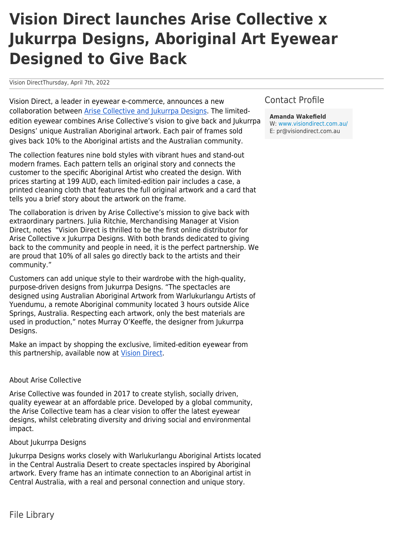## **Vision Direct launches Arise Collective x Jukurrpa Designs, Aboriginal Art Eyewear Designed to Give Back**

Vision DirectThursday, April 7th, 2022

Vision Direct, a leader in eyewear e-commerce, announces a new collaboration between [Arise Collective and Jukurrpa Designs](https://www.visiondirect.com.au/designer-eyeglasses/Arise-Collective-x-Jukurrpa-Designs). The limitededition eyewear combines Arise Collective's vision to give back and Jukurrpa Designs' unique Australian Aboriginal artwork. Each pair of frames sold gives back 10% to the Aboriginal artists and the Australian community.

The collection features nine bold styles with vibrant hues and stand-out modern frames. Each pattern tells an original story and connects the customer to the specific Aboriginal Artist who created the design. With prices starting at 199 AUD, each limited-edition pair includes a case, a printed cleaning cloth that features the full original artwork and a card that tells you a brief story about the artwork on the frame.

The collaboration is driven by Arise Collective's mission to give back with extraordinary partners. Julia Ritchie, Merchandising Manager at Vision Direct, notes "Vision Direct is thrilled to be the first online distributor for Arise Collective x Jukurrpa Designs. With both brands dedicated to giving back to the community and people in need, it is the perfect partnership. We are proud that 10% of all sales go directly back to the artists and their community."

Customers can add unique style to their wardrobe with the high-quality, purpose-driven designs from Jukurrpa Designs. "The spectacles are designed using Australian Aboriginal Artwork from Warlukurlangu Artists of Yuendumu, a remote Aboriginal community located 3 hours outside Alice Springs, Australia. Respecting each artwork, only the best materials are used in production," notes Murray O'Keeffe, the designer from Jukurrpa Designs.

Make an impact by shopping the exclusive, limited-edition eyewear from this partnership, available now at [Vision Direct](https://www.visiondirect.com.au/).

## About Arise Collective

Arise Collective was founded in 2017 to create stylish, socially driven, quality eyewear at an affordable price. Developed by a global community, the Arise Collective team has a clear vision to offer the latest eyewear designs, whilst celebrating diversity and driving social and environmental impact.

## About Jukurrpa Designs

Jukurrpa Designs works closely with Warlukurlangu Aboriginal Artists located in the Central Australia Desert to create spectacles inspired by Aboriginal artwork. Every frame has an intimate connection to an Aboriginal artist in Central Australia, with a real and personal connection and unique story.

## Contact Profile

**Amanda Wakefield** W: [www.visiondirect.com.au/](https://www.visiondirect.com.au/) E: pr@visiondirect.com.au